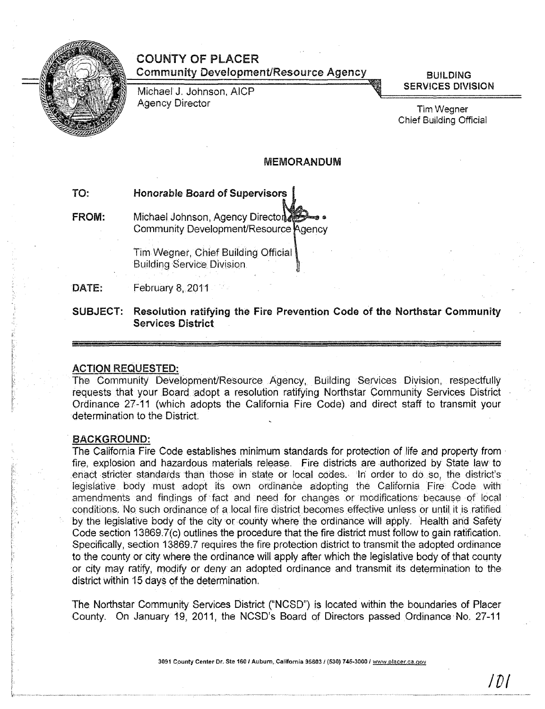

# COUNTY OF PLACER Community Development/Resource Agency

Michael J. Johnson, AICP Agency Director

**BUILDING** SERVICES DIVISION

Tim Wegner Chief Building Official

# MEMORANDUM

# TO: Honorable Board of Supervisors

FROM: Michael Johnson, Agency Director Community Development/Resource Agency

> Tim Wegner, Chief Building Official Building Service Divisjon

DATE: February 8, 2011

SUBJECT: Resolution ratifying the Fire Prevention Code of the Northstar Community Services District

#### ACTION REQUESTED:

The Community Development/Resource Agency, Building Services Diyision. respectfully requests that your Board adopt a resolution ratifying Northstar Community Services District Ordinance 27-11 (which adopts the California Fire Code) and direct staff to transmit your determination to the District.

#### BACKGROUND:

The California Fire Code establishes minimum standards for protection of life and property from fire, explosion and hazardous materials release. Fire. districts are authorized by State law to enact stricter standards than those in state or local codes. In order to do so, the district's legislative body must adopt its own ordinance adopting the California Fire Code with amendments and findings of fact and need for changes or modifications because of local conditions. No such ordinance of a local fire district becomes effective unless or until it is ratified. by the legislative body of the city or county where the ordinance will apply. Health and Safety Code section 13869.7(c) outlines the procedure that the fire district must follow to gain ratification. Specifically, section 13869.7 requires the fire protection district to transmit the adopted ordinance to the county or city where the ordinance will apply after which the legislative body of that county or city may ratify, modify or deny an adopted ordinance and transmit its determination to the district within 15 days of the determination.

The Northstar Community Services District ("NCSD") is located within the boundaries of Placer County. On January 19, 2011, the NCSD's Board of Directors passed Ordinance No. 27-11

3091 County Center Dr. Ste 160 / Auburn, California 95603 / (530) 745-3000 / www.placer.ca.gov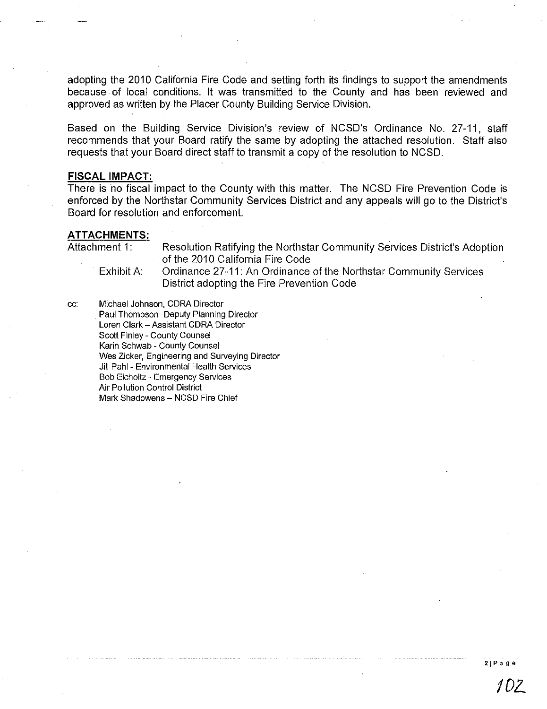adopting the 2010 California Fire Code and setting forth its findings to support the arnendrnents because of local conditions. It was transrnitted to the County and has been reviewed and approved as written by the Placer County Building Service Division.

Based on the Building Service Division's review of NCSD's Ordinance No. 27-11, staff recommends that your Board ratify the same by adopting the attached resolution. Staff also requests that your Board direct staff to transrnit a copy of the resolution to NCSD.

# **FISCAL IMPACT:**

There is no fiscal impact to the County with this matter. The NCSD Fire Prevention Code is enforced by the Northstar Community Services District and any appeals will go to the District's Board for resolution and enforcement.

#### **ATTACHMENTS:**

Attachment 1: Resolution Ratifying the Northstar Community Services District's Adoption of the 2010 California Fire Code

Exhibit A: Ordinance 27-11: An Ordinance of the Northstar Community Services District adopting the Fire Prevention Code

cc: Michael Johnson, CORA Director Paul Thompson- Deputy Planning Director Loren Clark - Assistant CDRA Director Scott Finley - County Counsel Karin Schwab - County Counsel Wes Zicker, Engineering and Surveying Director Jill Pahl - Environmental Health Services Bob Eicholtz - Emergency Services Air Pollution Control District Mark Shadowens - NCSD Fire Chief

**2jPage**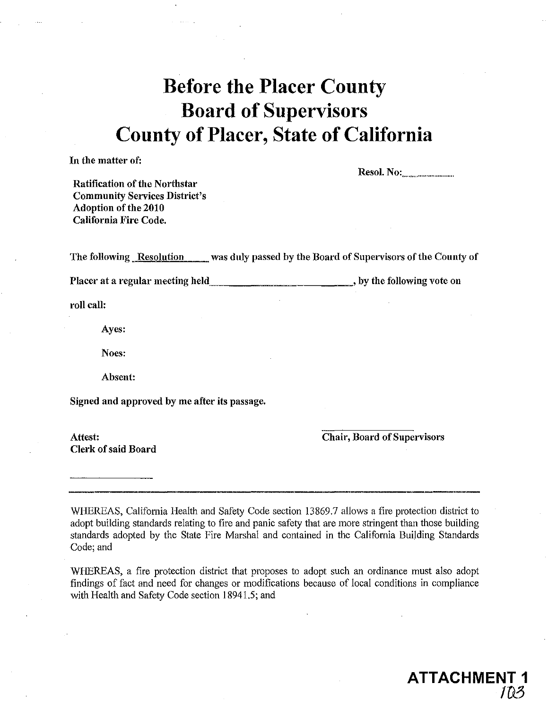# **Before the Placer County Board of Supervisors County of Placer, State of California**

**In** the matter of:

Resol. No: .............................. ..

Ratification of the Northstar Commnnity Services District's Adoption of the 2010 California Fire Code.

The following Resolution was duly passed by the Board of Supervisors of the County of

Placer at a regular meeting held  $\qquad \qquad \qquad \qquad \qquad \qquad \qquad$  by the following vote on

roll call:

Ayes:

Noes:

Absent:

Signed and approved by me after its passage.

Clerk of said Board

Attest: Chair, Board of Supervisors

**ATTACHME** 

*ID..P;* 

WHEREAS, California Health and Safety Code section 13869.7 allows a fire protection district to adopt building standards relating to fire and panic safety that are more stringent than those building standards adopted by the State Fire Marshal and contained in the California Building Standards Code; and

WHEREAS, a fire protection district that proposes to adopt such an ordinance must also adopt findings of fact and need for changes or modifications because of local conditions in compliance with Health and Safety Code section 18941.5; and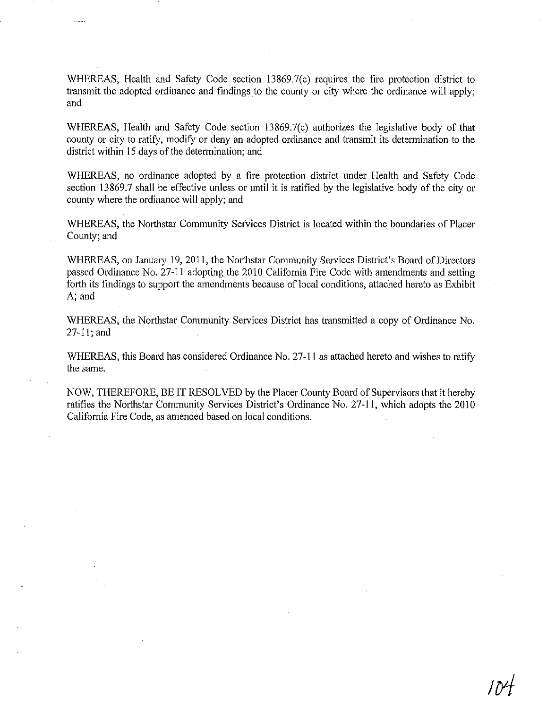WHEREAS, Health and Safety Code section 13869.7(c) requires the fire protection district to transmit the adopted ordinance and findings to the county or city where the ordinance will apply; and

WHEREAS, Health and Safety Code section 13869.7(c) authorizes the legislative body of that county or city to ratity, modity or deny an adopted ordinance and transmit its determination to the district within 15 days of the determination; and

WHEREAS, no ordinance adopted by a fire protection district under Health and Safety Code section 13869.7 shall be effective unless or until it is ratified by the legislative body of the city or county where the ordinance will apply; and

WHEREAS, the Northstar Community Services District is located within the boundaries of Placer County; and

WHEREAS, on January 19, 2011, the Northstar Community Services District's Board of Directors passed Ordinance No. 27-11 adopting the 2010 California Fire Code with amendments and setting forth its findings to support the amendments because of local conditions, attached hereto as Exhibit A; and

WHEREAS, the Northstar Community Services District has transmitted a copy of Ordinance No. 27-11; and

WHEREAS, this Board has considered Ordinance No. 27-11 as attached hereto and wishes to ratity the same.

NOW, THEREFORE, BE IT RESOLVED by the Placer County Board of Supervisors that it hereby ratifies the Northstar Community Services District's Ordinance No. 27-11, which adopts the 2010 California Fire Code, as amended based on local conditions.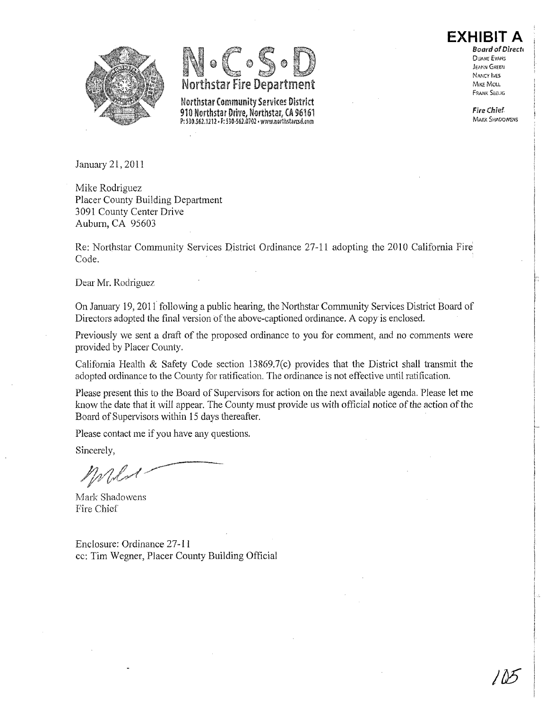



Northstar Community Services District 910 Northstar Drive, Northstar, *(1\* 96161 P: 530.562.1212 - F: 530-562.0702 - www.northstarcsd.com

**EXHIBIT A**  Board of Direct! DUANE EVANS

JEANN GREEN NANCY IVES MIKE MOLL F flANK SE£LIG

Fire Chief **MARK SHADOWENS** 

January 21, 2011

Mike Rodriguez Placer County Building Department 3091 County Center Drive Auburn, CA 95603

Re: Northstar Community Services District Ordinance 27-11 adopting the 2010 California Fire Code. .

Dear Mr. Rodriguez

On Janumy 19,201 f following a public hearing, the Northstar Community Services District Board of Directors adopted the final version of the above-captioned ordinance. A copy is enclosed.

Previously we sent a draft of the proposed ordinance to you for comment, and no comments were provided by Placer County.

California Health & Safety Code section 13869.7(c) provides that the District shall transmit the adopted ordinance to the County for ratification. The ordinance is not effective untit ratification.

Please present this to the Board of Supervisors for action on the next available agenda. Please let me know the date that it will appear. The County must provide us with official notice of the action of the Board of Supervisors within 15 days thereafter.

Please contact me if you have any questions.

Sincerely,

Mark Shadowens Fire Chief

Enclosure: Ordinance **27-11**  cc: Tim Wegner, Placer County Building Official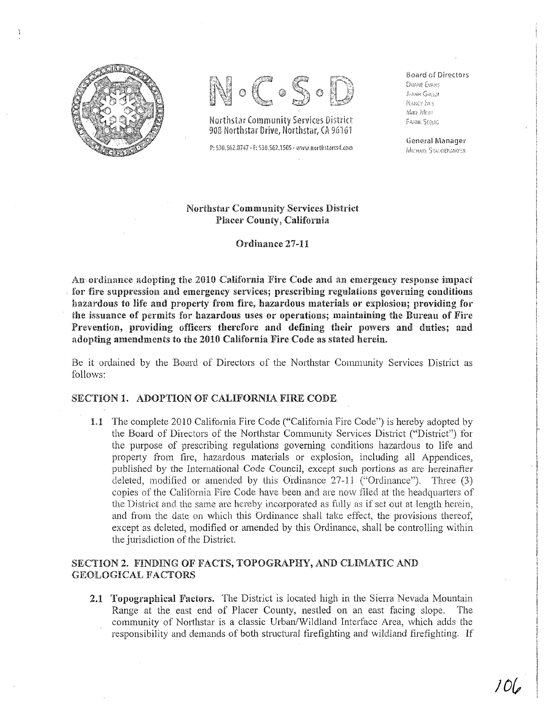



Northstar Community Services District 908 Northstar Drive, Northstar, CA

P: 530.562.0747 · F: 530.562.1505 · www.northstarcsd.com

Soard of Directors DUANE EVANS **JOANIN GREEN NANCY IVES** ~'v\!!o· fVl(Ji' FRANK SEELIG

General Manager MICHAEL STAULOENMAYER

# Northstar Community Services District Placer County, California

Ordinance 27-11

An ordinance adopting the 2010 California Fire Code and an emergency response impact for fire suppression and emergency services; prescribing regulations governing conditions hazardous to life and property from fire, hazardous materials or explosion; providing for the issuance of permits for hazardous uses or operations; maintaining the Bureau of Fire Prevention, providing officers therefore and defining their powers and duties; and adopting amendments to the 2010 California Fire Code as stated herein.

Be it ordained by the Board of Directors of the Northstar Community Services District as follows:

# SECTION 1. ADOPTION OF CALIFORNIA FIRE CODE

1.1 The complete 2010 California Fire Code ("California Fire Code") is hereby adopted by the Board of Directors of the Northstar Community Services District ("District") for the purpose of prescribing regulations governing conditions hazardous to life and property from fire, hazardous materials or explosion, including all Appendices, published by the International Code Council, except such portions as are hereinafter deleted, modified or amended by this Ordinance  $27-11$  ("Ordinance"). Three  $(3)$ copies of the California Fire Code have been and are now filed at the headquarters of the Distriet and the same are hereby incorporated as fully as if set out at length herein, and from the date on which this Ordinance shall take effect, the provisions thereof, except as deleted, modified or amended by this Ordinance, shall be controlling within the jurisdiction of the District

# SECTION 2. FINDING OF FACTS, TOPOGRAPHY, AND CLIMATIC AND GEOLOGICAL FACTORS

2.1 Topographical Factors. The District is located high in the Sierra Nevada Mountain Range at the east end of Placer County, nestled on an east facing slope. The community of Northstar is a classic Urban/Wildland Interface Area, which adds the responsibility and demands of both structural fire fighting and wildland fire fighting. If

 $106$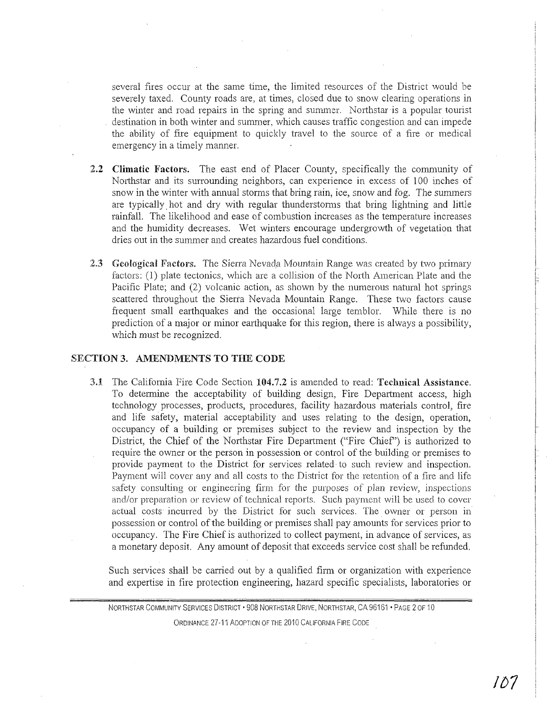several fires occur at the same time, the limited resources of the District would be severely taxed. County roads are, at times, closed due to snow clearing operations in the winter and road repairs in the spring and summer. Northstar is a popular tourist destination in both winter and summer, which causes traffic congestion and can impede the ability of fire equipment to quickly travel to the source of a fire or medical emergency in a timely manner.

- 2.2 Climatic Factors. The east end of Placer County, specifically the community of Northstar and its surrounding neighbors, can experience in excess of 100 inches of snow in the winter with annual storms that bring rain, ice, snow and fog. The summers are typically hot and dry with regular thunderstorms that bring lightning and little rainfall. The likelihood and ease of combustion increases as the temperature increases and the humidity decreases. Wet winters encourage undergrowth of vegetation that dries out in the summer and creates hazardous fuel conditions.
- 2.3 Geological Factors. The Sierra Nevada Mountain Range was created by two primary factors: (1) plate tectonics, which are a collision of the North American Plate and the Pacific Plate; and (2) volcanic action, as shown by the numerous natural hot springs scattered throughout the Sierra Nevada Mountain Range. These two factors cause frequent small emihquakes and the occasional large temblor. While there is no prediction of a major or minor emihquake for this region, there is always a possibility, which must be recognized.

# SECTION 3. AMENDMENTS TO THE CODE

3.1 The California Fire Code Section 104.7.2 is amended to read: Technical Assistance. To determine the acceptability of building design, Fire Depmiment access, high technology processes, products, procedures, facility hazardous materials control, fire and life safety, material acceptability and uses relating to the design, operation, occupancy of a building or premises subject to the review and inspection by the District, the Chief of the Northstar Fire Department ("Fire Chief') is authorized to require the owner or the person in possession or control of the building or premises to provide payment to the District for services related to such review and inspection. Payment will cover any and all costs to the District for the retention of a fire and life safety consulting or engineering firm for the purposes of plan review, inspections and/or preparation or review of teclmical reports. Such payment will be used to cover actual costs incurred by the District for such services. The owner or person in possession or control of the building or premises shall pay amounts for services prior to occupancy. The Fire Chief is authorized to collect payment, in advance of services, as a monetary deposit. Any amount of deposit that exceeds service cost shall be refunded.

Such services shall be canied out by a qualified firm or organization with experience and expertise in fire protection engineering, hazard specific specialists, laboratories or

NORTHSTAR COMMUNITY SERVICES DISTRICT' 908 NORTHSTAR DRIVE, NORTHSTAR, CA 96161 • PAGE 2 OF 10 ORDINANCE 27-11 ADOPTION OF THE 2010 CALIFORNIA FIRE CODE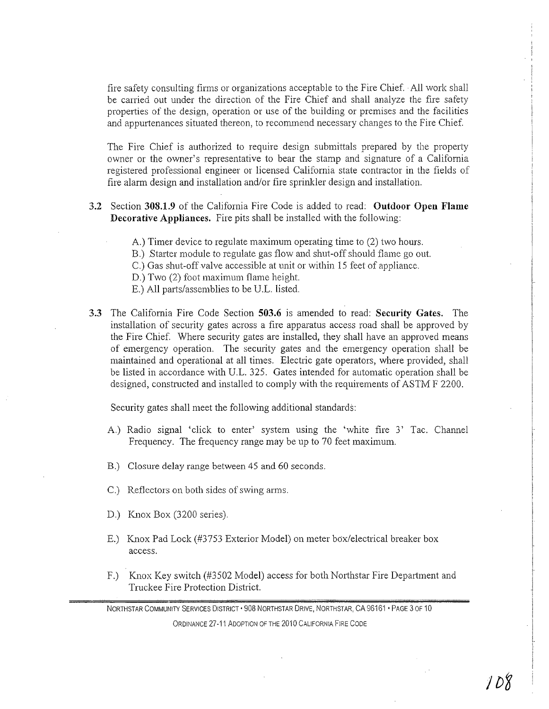fire safety consulting firms or organizations acceptable to the Fire Chief. All work shall be carried out under the direction of the Fire Chief and shall analyze the fire safety properties of the design, operation or use of the building or premises and the facilities and appurtenances situated thereon, to recommend necessary changes to the Fire Chief.

The Fire Chief is authorized to require design submittals prepared by the property owner or the owner's representative to bear the stamp and signature of a California registered professional engineer or licensed California state contractor in the fields of fire alarm design and installation and/or fire sprinkler design and installation.

- 3.2 Section **308.1.9** of the California Fire Code is added to read: **Outdoor Open Flame Decorative Appliances.** Fire pits shall be installed with the following:
	- A.) Timer device to regulate maximum operating time to (2) two hours.
	- B.) .Starter module to regulate gas flow and shut-off should flame go out.
	- C.) Gas shut-off valve accessible at unit or within 15 feet of appliance.
	- D.) Two (2) foot maximum flame height.
	- E.) All parts/assemblies to be U.L. listed.
- **3.3** The California Fire Code Section **503.6** is amended to read: **Security Gates.** The installation of security gates across a fire apparatus access road shall be approved by the Fire Chief. Where security gates are installed, they shall have an approved means of emergency operation. The security gates and the emergency operation shall be maintained and operational at all times. Electric gate operators, where provided, shall be listed in accordance with U.L. 325. Gates intended for automatic operation shall be designed, constructed and installed to comply with the requirements of ASTM F 2200.

Security gates shall meet the following additional standards:

- A.) Radio signal 'click to enter' system using the 'white fire 3' Tac. Channel Frequency. The frequency range may be up to 70 feet maximum.
- B.) Closure delay range between 45 and 60 seconds.
- C.) Reflectors on both sides of swing arms.
- D.) Knox Box (3200 series).
- E.) Knox Pad Lock (#3753 Exterior Model) on meter box/electrical breaker box access.
- F.) Knox Key switch (#3502 Model) access for both Northstar Fire Department and Truckee Fire Protection District.

NORTHSTAR COMMUNITY SERVICES DISTRICT · 908 NORTHSTAR DRIVE, NORTHSTAR, CA 96161 · PAGE 3 OF 10 ORDINANCE 27-11 ADOPTION OF THE 2010 CALIFORNIA FIRE CODE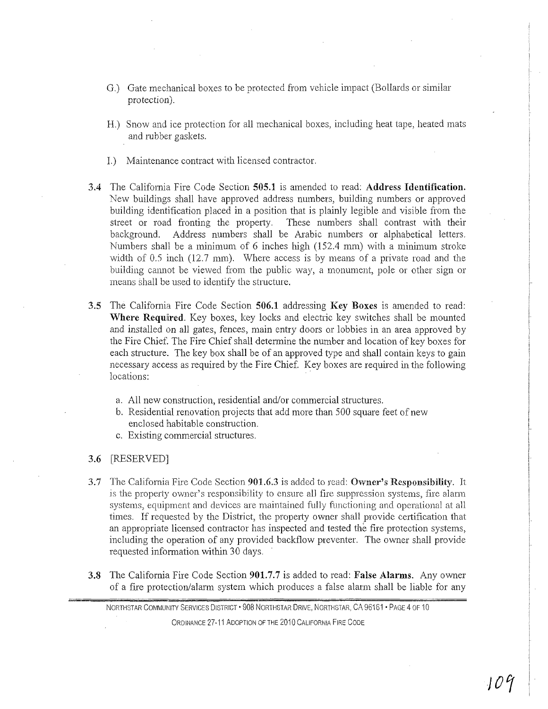- G.) Gate mechanical boxes to be protected from vehicle impact (Bollards or similar protection).
- H.) Snow and ice protection for all mechanical boxes, including heat tape, heated mats and rubber gaskets.
- 1.) Maintenance contract with licensed contractor.
- 3.4 The California Fire Code Section 505.1 is amended to read: Address Identification. New buildings shall have approved address numbers, building numbers or approved building identification placed in a position that is plainly legible and visible from the street or road fronting the property. These numbers shall contrast with their background. Address numbers shall be Arabic numbers or alphabetical letters. Numbers shall be a minimum of 6 inches high (152.4 mm) with a minimum stroke width of 0.5 inch (12.7 mm). Where access is by means of a private road and the building cannot be viewed from the public way, a monument, pole or other sign or means shall be used to identify the structure.
- 3.5 The California Fire Code Section 506.1 addressing Key Boxes is amended to read: Where Required. Key boxes, key locks and electric key switches shall be mounted and installed on all gates, fences, main entry doors or lobbies in an area approved by the Fire Chief The Fire Chief shall determine the number and location of key boxes for each structure. The key box shall be of an approved type and shall contain keys to gain necessary access as required by the Fire Chief. Key boxes are required in the following locations:
	- a. All new construction, residential and/or commercial structures.
	- b. Residential renovation projects that add more than *500* square feet of new enclosed habitable construction.
	- c. Existing commercial structures.

#### 3.6 [RESERVED]

- 3.7 The California Fire Code Section 901.6.3 is added to read: Owner's Responsibility. It is the property owner's responsibility to ensure alJ fire suppression systems, fire alarm systems, equipment and devices are maintained fully functioning and operational at all times. If requested by the District, the property owner shall provide certification that an appropriate licensed contractor has inspected and tested the fire protection systems, including the operation of any provided backflow preventer. The owner shall provide requested information within 30 days.
- 3.8 The California Fire Code Section 901.7.7 is added to read: False Alarms. Any owner of a fire protection/alarm system which produces a false alarm shall be liable for any

NORTHSTAR COMMUNITY SERVICES DISTRICT' 908 NORTHSTAR DRIVE, NORTHSTAR, CA 96161 • PAGE 4 OF 10 ORDINANCE 27-11 ADOPTION OF THE 2010 CALIFORNIA FIRE CODE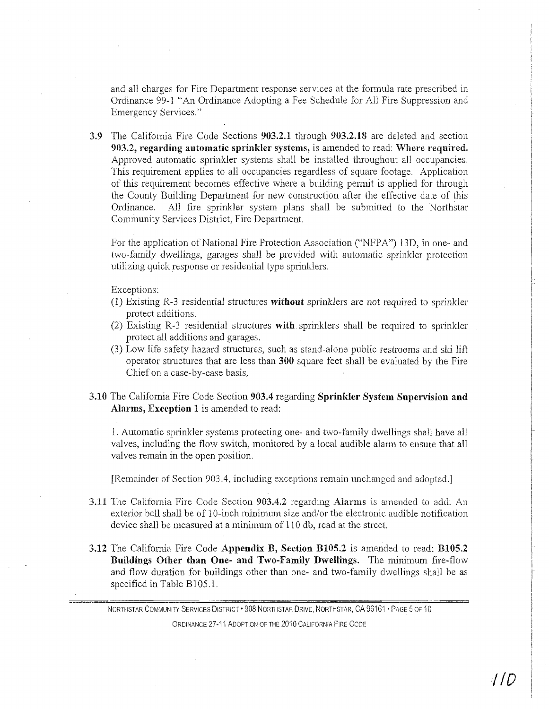and all charges for Fire Department response services at the formula rate prescribed in Ordinance 99-1 "An Ordinance Adopting a Fee Schedule for All Fire Suppression and Emergency Services."

3.9 The Califomia Fire Code Sections 903.2.1 through 903.2.18 are deleted and section 903.2, regarding automatic sprinkler systems, is amended to read: Where required. Approved automatic sprinkler systems shall be installed throughout all occupancies. This requirement applies to all occupancies regardless of square footage. Application of this requirement becomes effective where a building permit is applied for through the County Building Department for new construction after the effective date of this Ordinance. All fire sprinkler system plans shall be submitted to the Northstar Community Services District, Fire Department.

For the application of National Fire Protection Association ("NFPA") 13D, in one- and two-family dwellings, garages shall be provided with automatic sprinkler protection utilizing quick response or residential type sprinklers.

Exceptions:

- (1) Existing R-3 residential structures without sprinklers are not required to sprinkler protect additions.
- (2) Existing R-3 residential structures with sprinklers shall be required to sprinkler protect all additions and garages.
- (3) Low life safety hazard structures, such as stand-alone public restrooms and ski lift operator structures that are less than 300 square feet shall be evaluated by the Fire Chief on a case-by-case basis.
- 3.10 The Califomia Fire Code Section 903.4 regarding Sprinkler System Supervision and Alarms, Exception 1 is amended to read:

1. Automatic sprinlder systems protecting one- and two-family dwellings shall have all valves, including the flow switch, monitored by a local audible alarm to ensure that all valves remain in the open position.

[Remainder of Section 903.4, including exceptions remain unchanged and adopted.]

- 3.11 The California Fire Code Section 903.4.2 regarding Alarms is amended to add: An exterior bell shall be of 10-inch minimum size and/or the electronic audible notification device shall be measured at a minimum of 110 db, read at the street.
- 3.12 The Califomia Fire Code Appendix B, Section BI0S.2 is amended to read: BIOS.2 Buildings Other than One- and Two-Family Dwellings. The minimum fire-flow and flow duration for buildings other than one- and two-family dwellings shall be as specified in Table BIOS.l.

NORTHSTAR COMMUNITY SERVICES DISTRICT · 908 NORTHSTAR DRIVE, NORTHSTAR, CA 96161 · PAGE 5 OF 10 ORDINANCE 27-11 ADOPTION OF THE 2010 CALIFORNIA FIRE CODE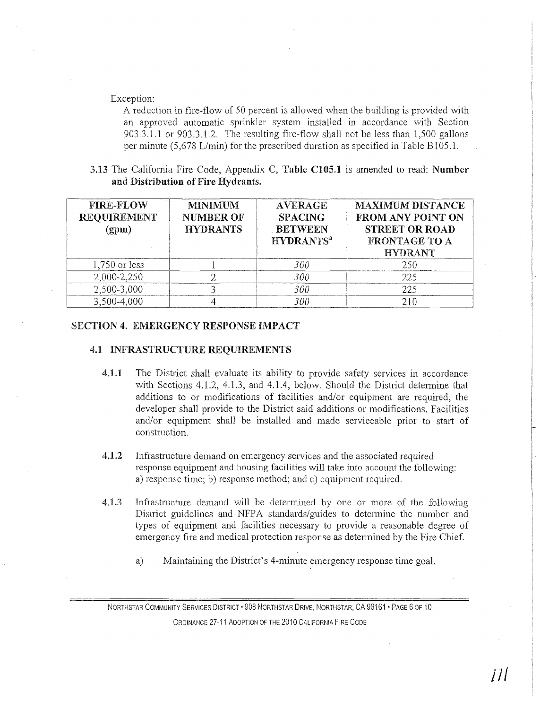#### Exception:

A reduction in fire-flow of 50 percent is allowed when the building is provided with an approved automatic sprinkler system installed in accordance with Section 903.3.1.1 or 903.3.1.2. The resulting fire-flow shall not be less than  $1,500$  gallons per minute (5,678 L/min) for the prescribed duration as specified in Table B105.1.

3.13 The California Fire Code, Appendix C, Table CI05.1 is amended to read: Number and Distribution of Fire Hydrants.

| <b>FIRE-FLOW</b><br><b>REOUIREMENT</b><br>(gpm) | <b>MINIMUM</b><br><b>NUMBER OF</b><br><b>HYDRANTS</b> | <b>AVERAGE</b><br><b>SPACING</b><br><b>BETWEEN</b><br><b>HYDRANTS<sup>a</sup></b> | <b>MAXIMUM DISTANCE</b><br><b>FROM ANY POINT ON</b><br><b>STREET OR ROAD</b><br><b>FRONTAGE TO A</b><br><b>HYDRANT</b> |
|-------------------------------------------------|-------------------------------------------------------|-----------------------------------------------------------------------------------|------------------------------------------------------------------------------------------------------------------------|
| $1,750$ or less                                 |                                                       | 300                                                                               | 250                                                                                                                    |
| 2,000-2,250                                     |                                                       | 300                                                                               | 225                                                                                                                    |
| 2,500-3,000                                     |                                                       | 300                                                                               | 225                                                                                                                    |
| 3,500-4,000                                     |                                                       | <i>300</i>                                                                        | 210                                                                                                                    |

# SECTION 4. EMERGENCY RESPONSE IMPACT

#### 4.1 INFRASTRUCTURE REQUIREMENTS

- 4.1.1 The District shall evaluate its ability to provide safety services in accordance with Sections 4.1.2, 4.1.3, and 4.1.4, below. Should the District determine that additions to or modifications of facilities and/or equipment are required, the developer shall provide to the District said additions or modifications. Facilities and/or equipment shall be installed and made serviceable prior to start of construction.
- 4.1.2 Infrastructure demand on emergency services and the associated required response equipment and housing facilities will take into account the following: a) response time; b) response method; and c) equipment required.
- 4.1.3 Infiastructure demand will be determined by one or more of the following District guidelines and NFPA standards/guides to determine the number and types of equipment and facilities necessary to provide a reasonable degree of emergency fire and medical protection response as determined by the Fire Chief.
	- a) Maintaining the District's 4-minute emergency response time goal.

NORTHSTAR COMMUNITY SERVICES DISTRICT' 908 NORTHSTAR DRIVE, NORTHSTAR, CA 96161 • PAGE 6 OF 10 ORDINANCE 27-11 ADOPTION OF THE 2010 CALIFORNIA FIRE CODE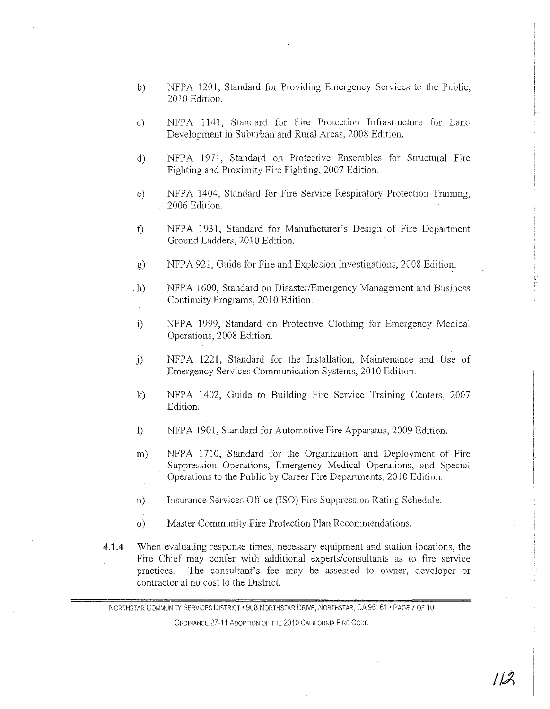- b) NFPA 1201, Standard for Providing Emergency Services to the Public, 2010 Edition.
- c) NFPA 1141, Standard for Fire Protection Infrastructure for Land Development in Suburban and Rural Areas, 2008 Edition.
- d) NFPA 1971, Standard on Protective Ensembles for Structural Fire Fighting and Proximity Fire Fighting, 2007 Edition.
- e) NFPA 1404, Standard for Fire Service Respiratory Protection Training, 2006 Edition.
- f) NFPA 1931, Standard for Manufacturer's Design of Fire Depatiment Ground Ladders, 2010 Edition.
- g) NFPA 921, Guide for Fire and Explosion Investigations, 2008 Edition.
- . h) NFPA 1600, Standard on Disaster/Emergency Management and Business Continuity Programs, 2010 Edition.
- i) NFPA 1999, Standard on Protective Clothing for Emergency Medical Operations, 2008 Edition.
- j) NFPA 1221, Standard for the Installation, Maintenance and Use of Emergency Services Communication Systems, 2010 Edition.
- k) NFPA 1402, Guide to Building Fire Service Training Centers, 2007 Edition.
- 1) NFPA 1901, Standard for Automotive Fire Apparatus, 2009 Edition.
- m) NFPA 1710, Standard for the Organization and Deployment of Fire Suppression Operations, Emergency Medical Operations, and Special Operations to the Public by Career Fire Departments, 2010 Edition.
- n) Insurance Services Office (ISO) Fire Suppression Rating Schedule.
- 0) Master Community Fire Protection Plan Recommendations.
- 4.1.4 When evaluating response times, necessary equipment and station locations, the Fire Chief may confer with additional experts/consultants as to fire service practices. The consultant's fee may be assessed to owner, developer or contractor at no cost to the District.

NORTHSTAR COMMUNITY SERVICES DISTRICT . 908 NORTHSTAR DRIVE, NORTHSTAR, CA 96161 . PAGE 7 OF 10 ORDINANCE 27-1'1 ADOPTION OF THE 2010 CALIFORNIA FIRE CODE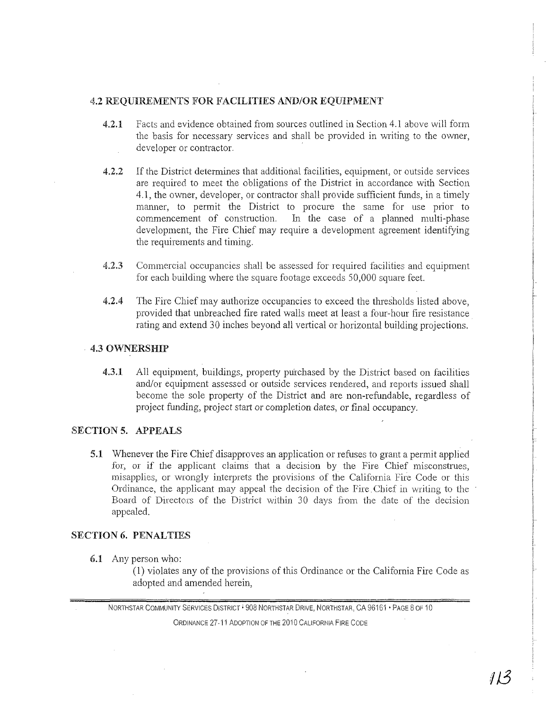# 4.2 REQUIREMENTS FOR FACILITIES AND/OR EQUIPMENT

- 4.2.1 Facts and evidence obtained from sources outlined in Section 4.1 above will form the basis for necessary services and shall be provided in writing to the owner, developer or contractor.
- 4.2.2 If the District determines that additional facilities, equipment, or outside services are required to meet the obligations of the District in accordance with Section 4.1, the owner, developer, or contractor shall provide sufficient funds, in a timely manner, to permit the District to procure the same for use prior to commencement of construction. In the case of a planned multi-phase In the case of a planned multi-phase development, the Fire Chief may require a development agreement identifying the requirements and timing.
- 4.2.3 Commercial occupancies shall be assessed for required facilities and equipment for each building where the square footage exceeds 50,000 square feet.
- 4.2.4 The Fire Chief may authorize occupancies to exceed the thresholds listed above, provided that unbreached fire rated walls meet at least a four-hour fire resistance rating and extend 30 inches beyond all vertical or horizontal building projections.

# 4.3 OWNERSHIP

4.3.1 All equipment, buildings, property purchased by the District based on facilities and/or equipment assessed or outside services rendered, and reports issued shall become the sole property of the District and are non-refundable, regardless of project funding, project start or completion dates, or final occupancy.

# SECTION **5.** APPEALS

S.l Whenever the Fire Chief disapproves an application or refuses to grant a permit applied for, or if the applicant claims that a decision by the Fire Chief misconstrues, misapplies, or wrongly interprets the provisions of the California Fire Code or this Ordinance, the applicant may appeal the decision of the Fire. Chief in writing to the Board of Directors of the District within 30 clays from the date of the decision appealed.

# SECTION **6.** PENALTIES

6.1 Any person who:

(1) violates any of the provisions of this Ordinance or the California Fire Code as adopted and amended herein,

NORTHSTAR COMMUNITY SERVICES DISTRICT · 908 NORTHSTAR DRIVE, NORTHSTAR, CA 96161 · PAGE 8 OF 10

ORDINANCE 27-11 ADOPTION OF THE 2010 CALIFORNIA FIRE CODE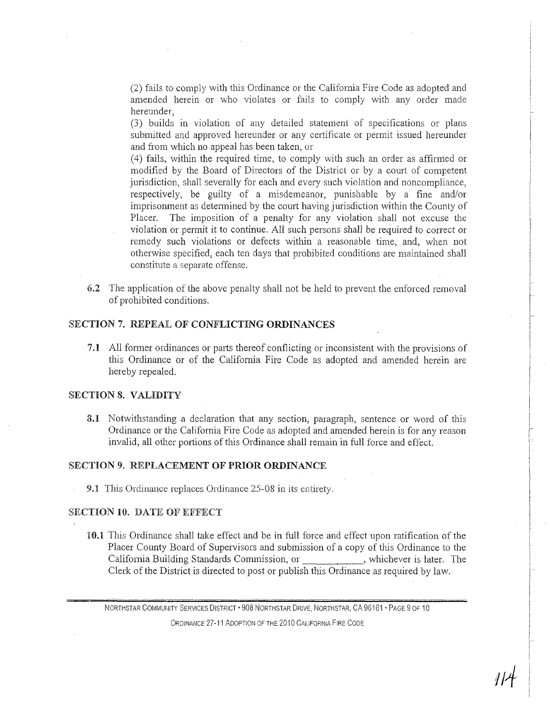(2) fails to comply with this Ordinance or the California Fire Code as adopted and amended herein or who violates or fails to comply with any order made hereunder,

(3) builds in violation of any detailed statement of specifications or plans submitted and approved hereunder or any certificate or permit issued hereunder and from which no appeal has been taken, or

(4) fails, within the required time, to comply with such an order as affirmed or modified by the Board of Directors of the District or by a court of competent jurisdiction, shall severally for each and every such violation and noncompliance, respectively, be guilty of a misdemeanor, punishable by a fine and/or imprisonment as determined by the court having jurisdiction within the County of Placer. The imposition of a penalty for any violation shall not excuse the violation or permit it to continue. All such persons shall be required to correct or remedy such violations or defects within a reasonable time, and, when not otherwise specified, each ten days that prohibited conditions are maintained shall constitute a separate offense.

6.2 The application of the above penalty shall not be held to prevent the enforced removal of prohibited conditions.

# SECTION 7. REPEAL OF CONFLICTING ORDINANCES

7.1 All former ordinances or parts thereof conflicting or inconsistent with the provisions of this Ordinance or of the California Fire Code as adopted and amended herein are hereby repealed.

# SECTION 8. VALIDITY

3.1 Notwithstanding a declaration that any section, paragraph, sentence or word of this Ordinance or the California Fire Code as adopted and amended herein is for any reason invalid, all other portions of this Ordinance shall remain in full force and effect.

#### SECTION 9. REPLACEMENT OF PRIOR ORDINANCE

9.1 This Ordinance replaces Ordinance 25-08 in its entirety.

# SECTION 10. DATE OF EFFECT

10.1 This Ordinance shall take effect and be in full force and effect upon ratification of the Placer County Board of Supervisors and submission of a copy of this Ordinance to the California Building Standards Commission, or , whichever is later. The Clerk of the District is directed to post or publish this Ordinance as required by law.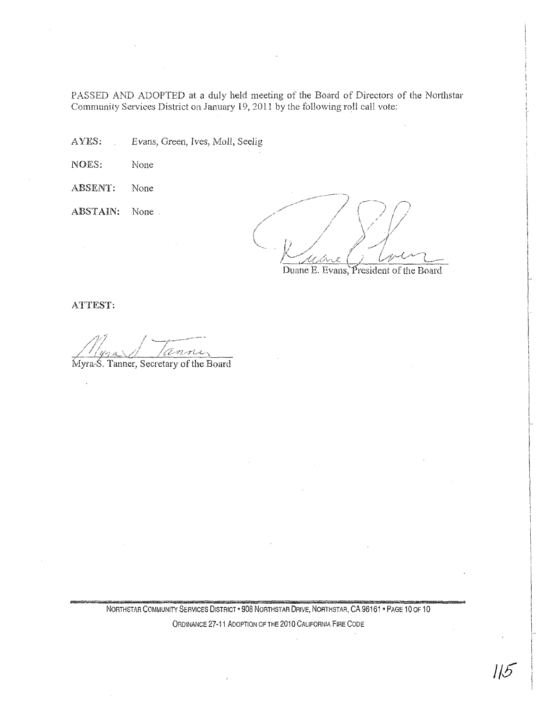PASSED AND ADOPTED at a duly held meeting of the Board of Directors of the Northstar Community Services District on January 19, 2011 by the following roll call vote:

AYES: Evans, Green, Ives, Moll, Seelig

NOES: None

- ABSENT: None
- ABSTAIN: None

Duane E. Evans, President of the Board

ATTEST:

anne

Myra S. Tanner, Secretary of the Board

NORTHSTAR COMMUNITY SERVICES DISTRICT . 908 NORTHSTAR DRIVE, NORTHSTAR, CA 96161 . PAGE 10 OF 10

ORDINANCE **27-11** ADOPTION OF THE 2010 CALIFORNIA FIRE CODE